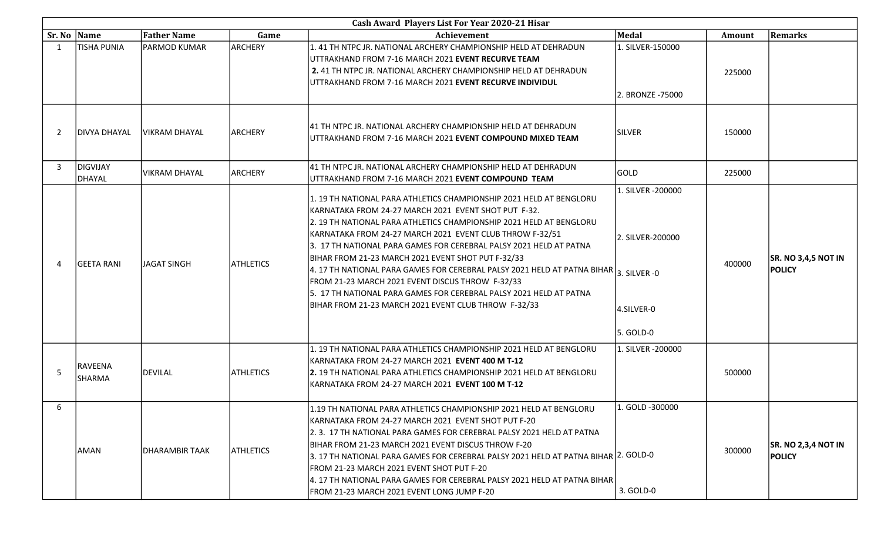|                | Cash Award Players List For Year 2020-21 Hisar |                      |                  |                                                                                                                                                                                                                                                                                                                                                                                                                                                                                                                                                                                                                                                                                       |                                                                  |               |                                             |  |  |
|----------------|------------------------------------------------|----------------------|------------------|---------------------------------------------------------------------------------------------------------------------------------------------------------------------------------------------------------------------------------------------------------------------------------------------------------------------------------------------------------------------------------------------------------------------------------------------------------------------------------------------------------------------------------------------------------------------------------------------------------------------------------------------------------------------------------------|------------------------------------------------------------------|---------------|---------------------------------------------|--|--|
| Sr. No   Name  |                                                | <b>Father Name</b>   | Game             | <b>Achievement</b>                                                                                                                                                                                                                                                                                                                                                                                                                                                                                                                                                                                                                                                                    | Medal                                                            | <b>Amount</b> | Remarks                                     |  |  |
| $\overline{1}$ | <b>TISHA PUNIA</b>                             | <b>PARMOD KUMAR</b>  | ARCHERY          | 1.41 TH NTPC JR. NATIONAL ARCHERY CHAMPIONSHIP HELD AT DEHRADUN<br>UTTRAKHAND FROM 7-16 MARCH 2021 EVENT RECURVE TEAM<br>2.41 TH NTPC JR. NATIONAL ARCHERY CHAMPIONSHIP HELD AT DEHRADUN<br>UTTRAKHAND FROM 7-16 MARCH 2021 EVENT RECURVE INDIVIDUL                                                                                                                                                                                                                                                                                                                                                                                                                                   | 1. SILVER-150000<br>2. BRONZE -75000                             | 225000        |                                             |  |  |
| -2             | <b>DIVYA DHAYAL</b>                            | <b>VIKRAM DHAYAL</b> | <b>ARCHERY</b>   | 41 TH NTPC JR. NATIONAL ARCHERY CHAMPIONSHIP HELD AT DEHRADUN<br>UTTRAKHAND FROM 7-16 MARCH 2021 <b>EVENT COMPOUND MIXED TEAM</b>                                                                                                                                                                                                                                                                                                                                                                                                                                                                                                                                                     | <b>SILVER</b>                                                    | 150000        |                                             |  |  |
| 3              | DIGVIJAY<br>DHAYAL                             | VIKRAM DHAYAL        | <b>ARCHERY</b>   | 41 TH NTPC JR. NATIONAL ARCHERY CHAMPIONSHIP HELD AT DEHRADUN<br>UTTRAKHAND FROM 7-16 MARCH 2021 EVENT COMPOUND TEAM                                                                                                                                                                                                                                                                                                                                                                                                                                                                                                                                                                  | GOLD                                                             | 225000        |                                             |  |  |
| $\Delta$       | GEETA RANI                                     | <b>JAGAT SINGH</b>   | <b>ATHLETICS</b> | 1. 19 TH NATIONAL PARA ATHLETICS CHAMPIONSHIP 2021 HELD AT BENGLORU<br>KARNATAKA FROM 24-27 MARCH 2021 EVENT SHOT PUT F-32.<br>2. 19 TH NATIONAL PARA ATHLETICS CHAMPIONSHIP 2021 HELD AT BENGLORU<br>KARNATAKA FROM 24-27 MARCH 2021 EVENT CLUB THROW F-32/51<br>3. 17 TH NATIONAL PARA GAMES FOR CEREBRAL PALSY 2021 HELD AT PATNA<br>BIHAR FROM 21-23 MARCH 2021 EVENT SHOT PUT F-32/33<br>$\vert$ 4. 17 TH NATIONAL PARA GAMES FOR CEREBRAL PALSY 2021 HELD AT PATNA BIHAR $\vert$ 3. SILVER -0<br>FROM 21-23 MARCH 2021 EVENT DISCUS THROW F-32/33<br>5. 17 TH NATIONAL PARA GAMES FOR CEREBRAL PALSY 2021 HELD AT PATNA<br>BIHAR FROM 21-23 MARCH 2021 EVENT CLUB THROW F-32/33 | 1. SILVER -200000<br>2. SILVER-200000<br>4.SILVER-0<br>5. GOLD-0 | 400000        | <b>SR. NO 3,4,5 NOT IN</b><br><b>POLICY</b> |  |  |
| -5             | RAVEENA<br>SHARMA                              | DEVILAL              | <b>ATHLETICS</b> | 1. 19 TH NATIONAL PARA ATHLETICS CHAMPIONSHIP 2021 HELD AT BENGLORU<br>KARNATAKA FROM 24-27 MARCH 2021 EVENT 400 M T-12<br>2. 19 TH NATIONAL PARA ATHLETICS CHAMPIONSHIP 2021 HELD AT BENGLORU<br>KARNATAKA FROM 24-27 MARCH 2021 EVENT 100 M T-12                                                                                                                                                                                                                                                                                                                                                                                                                                    | 1. SILVER -200000                                                | 500000        |                                             |  |  |
| 6              | AMAN                                           | IDHARAMBIR TAAK      | <b>ATHLETICS</b> | 1.19 TH NATIONAL PARA ATHLETICS CHAMPIONSHIP 2021 HELD AT BENGLORU<br>KARNATAKA FROM 24-27 MARCH 2021 EVENT SHOT PUT F-20<br>2.3. 17 TH NATIONAL PARA GAMES FOR CEREBRAL PALSY 2021 HELD AT PATNA<br>BIHAR FROM 21-23 MARCH 2021 EVENT DISCUS THROW F-20<br>3. 17 TH NATIONAL PARA GAMES FOR CEREBRAL PALSY 2021 HELD AT PATNA BIHAR 2. GOLD-0<br>FROM 21-23 MARCH 2021 EVENT SHOT PUT F-20<br>4. 17 TH NATIONAL PARA GAMES FOR CEREBRAL PALSY 2021 HELD AT PATNA BIHAR<br>FROM 21-23 MARCH 2021 EVENT LONG JUMP F-20                                                                                                                                                                 | 1. GOLD -300000<br>3. GOLD-0                                     | 300000        | <b>SR. NO 2,3,4 NOT IN</b><br><b>POLICY</b> |  |  |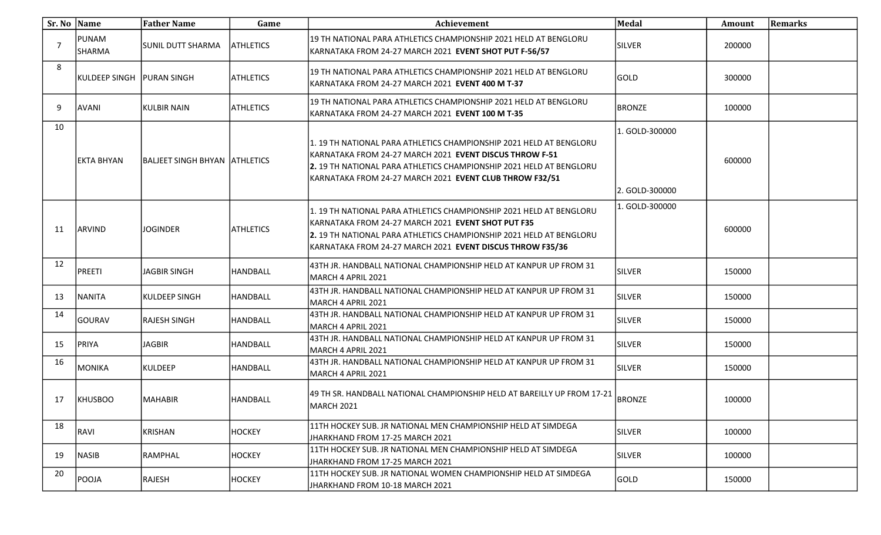| Sr. No Name |                   | <b>Father Name</b>              | Game             | Achievement                                                                                                                                                                                                                                                             | <b>Medal</b>                     | Amount | <b>Remarks</b> |
|-------------|-------------------|---------------------------------|------------------|-------------------------------------------------------------------------------------------------------------------------------------------------------------------------------------------------------------------------------------------------------------------------|----------------------------------|--------|----------------|
|             | PUNAM<br>SHARMA   | SUNIL DUTT SHARMA               | <b>ATHLETICS</b> | 19 TH NATIONAL PARA ATHLETICS CHAMPIONSHIP 2021 HELD AT BENGLORU<br>KARNATAKA FROM 24-27 MARCH 2021 EVENT SHOT PUT F-56/57                                                                                                                                              | <b>SILVER</b>                    | 200000 |                |
| 8           | IKULDEEP SINGH    | <b>IPURAN SINGH</b>             | <b>ATHLETICS</b> | 19 TH NATIONAL PARA ATHLETICS CHAMPIONSHIP 2021 HELD AT BENGLORU<br>KARNATAKA FROM 24-27 MARCH 2021 EVENT 400 M T-37                                                                                                                                                    | GOLD                             | 300000 |                |
| 9           | AVANI             | KULBIR NAIN                     | <b>ATHLETICS</b> | 19 TH NATIONAL PARA ATHLETICS CHAMPIONSHIP 2021 HELD AT BENGLORU<br>KARNATAKA FROM 24-27 MARCH 2021 EVENT 100 M T-35                                                                                                                                                    | <b>BRONZE</b>                    | 100000 |                |
| 10          | lekta bhyan       | IBALJEET SINGH BHYAN TATHLETICS |                  | 1. 19 TH NATIONAL PARA ATHLETICS CHAMPIONSHIP 2021 HELD AT BENGLORU<br>KARNATAKA FROM 24-27 MARCH 2021 <b>EVENT DISCUS THROW F-51</b><br>2. 19 TH NATIONAL PARA ATHLETICS CHAMPIONSHIP 2021 HELD AT BENGLORU<br>KARNATAKA FROM 24-27 MARCH 2021 EVENT CLUB THROW F32/51 | 1. GOLD-300000<br>2. GOLD-300000 | 600000 |                |
| -11         | ARVIND            | <b>JOGINDER</b>                 | <b>ATHLETICS</b> | 1. 19 TH NATIONAL PARA ATHLETICS CHAMPIONSHIP 2021 HELD AT BENGLORU<br>KARNATAKA FROM 24-27 MARCH 2021 <b>EVENT SHOT PUT F35</b><br>2. 19 TH NATIONAL PARA ATHLETICS CHAMPIONSHIP 2021 HELD AT BENGLORU<br>KARNATAKA FROM 24-27 MARCH 2021 EVENT DISCUS THROW F35/36    | 1. GOLD-300000                   | 600000 |                |
| 12          | PREETI            | JAGBIR SINGH                    | <b>HANDBALL</b>  | 43TH JR. HANDBALL NATIONAL CHAMPIONSHIP HELD AT KANPUR UP FROM 31<br>MARCH 4 APRIL 2021                                                                                                                                                                                 | <b>SILVER</b>                    | 150000 |                |
| -13         | NANITA            | KULDEEP SINGH                   | <b>HANDBALL</b>  | 43TH JR. HANDBALL NATIONAL CHAMPIONSHIP HELD AT KANPUR UP FROM 31<br>MARCH 4 APRIL 2021                                                                                                                                                                                 | <b>SILVER</b>                    | 150000 |                |
| 14          | GOURAV            | <b>RAJESH SINGH</b>             | <b>HANDBALL</b>  | 43TH JR. HANDBALL NATIONAL CHAMPIONSHIP HELD AT KANPUR UP FROM 31<br>MARCH 4 APRIL 2021                                                                                                                                                                                 | <b>SILVER</b>                    | 150000 |                |
| 15          | <b>PRIYA</b>      | <b>JAGBIR</b>                   | <b>HANDBALL</b>  | 43TH JR. HANDBALL NATIONAL CHAMPIONSHIP HELD AT KANPUR UP FROM 31<br>MARCH 4 APRIL 2021                                                                                                                                                                                 | <b>SILVER</b>                    | 150000 |                |
| 16          | MONIKA            | <b>KULDEEP</b>                  | HANDBALL         | 43TH JR. HANDBALL NATIONAL CHAMPIONSHIP HELD AT KANPUR UP FROM 31<br>MARCH 4 APRIL 2021                                                                                                                                                                                 | <b>SILVER</b>                    | 150000 |                |
| -17         | KHUSBOO           | <b>MAHABIR</b>                  | <b>HANDBALL</b>  | 49 TH SR. HANDBALL NATIONAL CHAMPIONSHIP HELD AT BAREILLY UP FROM 17-21<br>MARCH 2021                                                                                                                                                                                   | <b>BRONZE</b>                    | 100000 |                |
| 18          | RAVI <sup>l</sup> | KRISHAN                         | <b>HOCKEY</b>    | 11TH HOCKEY SUB. JR NATIONAL MEN CHAMPIONSHIP HELD AT SIMDEGA<br>JHARKHAND FROM 17-25 MARCH 2021                                                                                                                                                                        | <b>SILVER</b>                    | 100000 |                |
| 19          | NASIB             | RAMPHAL                         | <b>HOCKEY</b>    | 11TH HOCKEY SUB. JR NATIONAL MEN CHAMPIONSHIP HELD AT SIMDEGA<br>JHARKHAND FROM 17-25 MARCH 2021                                                                                                                                                                        | <b>SILVER</b>                    | 100000 |                |
| 20          | POOJA             | RAJESH                          | <b>HOCKEY</b>    | 11TH HOCKEY SUB. JR NATIONAL WOMEN CHAMPIONSHIP HELD AT SIMDEGA<br>JHARKHAND FROM 10-18 MARCH 2021                                                                                                                                                                      | <b>GOLD</b>                      | 150000 |                |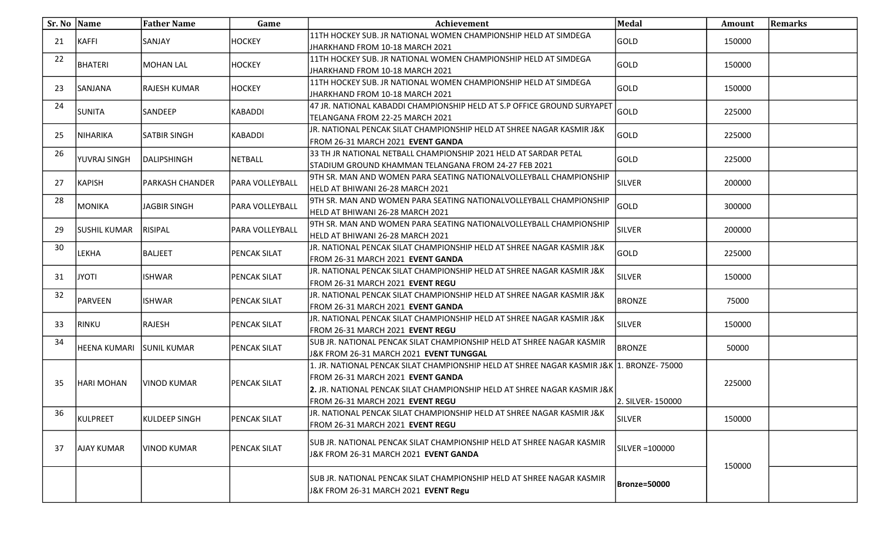| Sr. No   Name |                     | <b>Father Name</b>  | Game                | Achievement                                                                                                                                                                                                                                             | Medal               | Amount | <b>Remarks</b> |
|---------------|---------------------|---------------------|---------------------|---------------------------------------------------------------------------------------------------------------------------------------------------------------------------------------------------------------------------------------------------------|---------------------|--------|----------------|
| 21            | KAFFI               | SANJAY              | <b>HOCKEY</b>       | 11TH HOCKEY SUB. JR NATIONAL WOMEN CHAMPIONSHIP HELD AT SIMDEGA<br>JHARKHAND FROM 10-18 MARCH 2021                                                                                                                                                      | <b>GOLD</b>         | 150000 |                |
| 22            | BHATERI             | MOHAN LAL           | HOCKEY              | 11TH HOCKEY SUB. JR NATIONAL WOMEN CHAMPIONSHIP HELD AT SIMDEGA<br>JHARKHAND FROM 10-18 MARCH 2021                                                                                                                                                      | lgold               | 150000 |                |
| 23            | SANJANA             | <b>RAJESH KUMAR</b> | <b>HOCKEY</b>       | 111TH HOCKEY SUB. JR NATIONAL WOMEN CHAMPIONSHIP HELD AT SIMDEGA<br>JHARKHAND FROM 10-18 MARCH 2021                                                                                                                                                     | <b>GOLD</b>         | 150000 |                |
| 24            | <b>SUNITA</b>       | <b>SANDEEP</b>      | KABADDI             | 47 JR. NATIONAL KABADDI CHAMPIONSHIP HELD AT S.P OFFICE GROUND SURYAPET<br>TELANGANA FROM 22-25 MARCH 2021                                                                                                                                              | <b>GOLD</b>         | 225000 |                |
| 25            | NIHARIKA            | ISATBIR SINGH       | KABADDI             | JJR. NATIONAL PENCAK SILAT CHAMPIONSHIP HELD AT SHREE NAGAR KASMIR J&K<br>FROM 26-31 MARCH 2021 EVENT GANDA                                                                                                                                             | <b>GOLD</b>         | 225000 |                |
| 26            | YUVRAJ SINGH        | IDALIPSHINGH        | <b>NETBALL</b>      | 33 TH JR NATIONAL NETBALL CHAMPIONSHIP 2021 HELD AT SARDAR PETAL<br>STADIUM GROUND KHAMMAN TELANGANA FROM 24-27 FEB 2021                                                                                                                                | lgold               | 225000 |                |
| 27            | KAPISH              | PARKASH CHANDER     | PARA VOLLEYBALL     | 9TH SR. MAN AND WOMEN PARA SEATING NATIONALVOLLEYBALL CHAMPIONSHIP<br>HELD AT BHIWANI 26-28 MARCH 2021                                                                                                                                                  | <b>SILVER</b>       | 200000 |                |
| 28            | MONIKA              | JAGBIR SINGH        | PARA VOLLEYBALL     | 9TH SR. MAN AND WOMEN PARA SEATING NATIONALVOLLEYBALL CHAMPIONSHIP<br> HELD AT BHIWANI 26-28 MARCH 2021                                                                                                                                                 | <b>GOLD</b>         | 300000 |                |
| 29            | SUSHIL KUMAR        | RISIPAL             | PARA VOLLEYBALL     | 9TH SR. MAN AND WOMEN PARA SEATING NATIONALVOLLEYBALL CHAMPIONSHIP<br>HELD AT BHIWANI 26-28 MARCH 2021                                                                                                                                                  | <b>SILVER</b>       | 200000 |                |
| 30            | LEKHA               | <b>BALJEET</b>      | PENCAK SILAT        | JR. NATIONAL PENCAK SILAT CHAMPIONSHIP HELD AT SHREE NAGAR KASMIR J&K<br>FROM 26-31 MARCH 2021 EVENT GANDA                                                                                                                                              | <b>GOLD</b>         | 225000 |                |
| 31            | ITOYL               | <b>ISHWAR</b>       | PENCAK SILAT        | J.R. NATIONAL PENCAK SILAT CHAMPIONSHIP HELD AT SHREE NAGAR KASMIR J&K<br>FROM 26-31 MARCH 2021 EVENT REGU                                                                                                                                              | SILVER              | 150000 |                |
| 32            | PARVEEN             | <b>ISHWAR</b>       | PENCAK SILAT        | JR. NATIONAL PENCAK SILAT CHAMPIONSHIP HELD AT SHREE NAGAR KASMIR J&K<br>FROM 26-31 MARCH 2021 EVENT GANDA                                                                                                                                              | <b>BRONZE</b>       | 75000  |                |
| 33            | RINKU               | RAJESH              | <b>PENCAK SILAT</b> | JJR. NATIONAL PENCAK SILAT CHAMPIONSHIP HELD AT SHREE NAGAR KASMIR J&K<br>FROM 26-31 MARCH 2021 EVENT REGU                                                                                                                                              | <b>SILVER</b>       | 150000 |                |
| 34            | <b>HEENA KUMARI</b> | <b>SUNIL KUMAR</b>  | PENCAK SILAT        | SUB JR. NATIONAL PENCAK SILAT CHAMPIONSHIP HELD AT SHREE NAGAR KASMIR<br>J&K FROM 26-31 MARCH 2021 EVENT TUNGGAL                                                                                                                                        | <b>BRONZE</b>       | 50000  |                |
| 35            | HARI MOHAN          | VINOD KUMAR         | <b>PENCAK SILAT</b> | 1. JR. NATIONAL PENCAK SILAT CHAMPIONSHIP HELD AT SHREE NAGAR KASMIR J&K  1. BRONZE- 75000 <br>FROM 26-31 MARCH 2021 EVENT GANDA<br><b>2.</b> JR. NATIONAL PENCAK SILAT CHAMPIONSHIP HELD AT SHREE NAGAR KASMIR J&K<br>FROM 26-31 MARCH 2021 EVENT REGU | 2. SILVER- 150000   | 225000 |                |
| 36            | KULPREET            | KULDEEP SINGH       | <b>PENCAK SILAT</b> | JJR. NATIONAL PENCAK SILAT CHAMPIONSHIP HELD AT SHREE NAGAR KASMIR J&K<br>FROM 26-31 MARCH 2021 EVENT REGU                                                                                                                                              | SILVER              | 150000 |                |
| 37            | <b>AJAY KUMAR</b>   | VINOD KUMAR         | PENCAK SILAT        | SUB JR. NATIONAL PENCAK SILAT CHAMPIONSHIP HELD AT SHREE NAGAR KASMIR<br>J&K FROM 26-31 MARCH 2021 EVENT GANDA                                                                                                                                          | SILVER =100000      | 150000 |                |
|               |                     |                     |                     | SUB JR. NATIONAL PENCAK SILAT CHAMPIONSHIP HELD AT SHREE NAGAR KASMIR<br>J&K FROM 26-31 MARCH 2021 EVENT Regu                                                                                                                                           | <b>Bronze=50000</b> |        |                |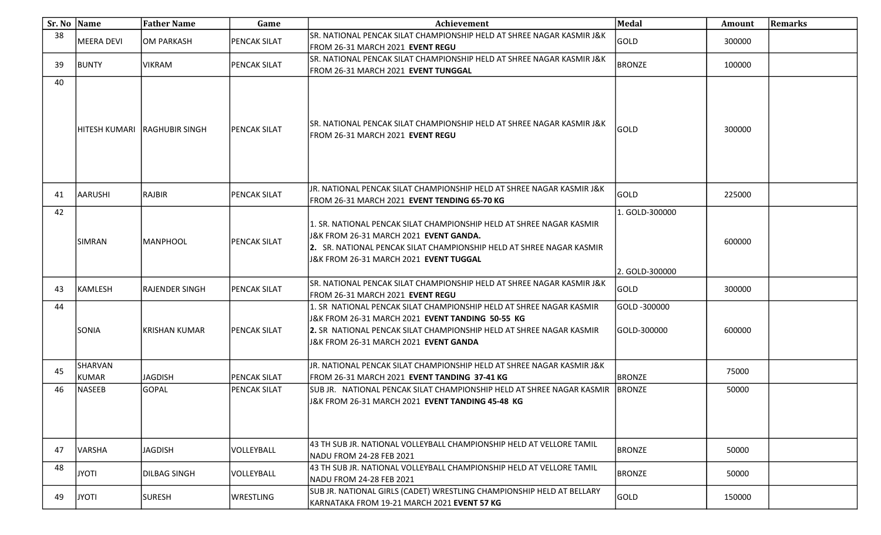|    | Sr. No Name      | <b>Father Name</b>     | Game                | Achievement                                                                                                                                                                                                                                     | <b>Medal</b>                 | Amount | <b>Remarks</b> |
|----|------------------|------------------------|---------------------|-------------------------------------------------------------------------------------------------------------------------------------------------------------------------------------------------------------------------------------------------|------------------------------|--------|----------------|
| 38 | MEERA DEVI       | OM PARKASH             | <b>PENCAK SILAT</b> | SR. NATIONAL PENCAK SILAT CHAMPIONSHIP HELD AT SHREE NAGAR KASMIR J&K<br>FROM 26-31 MARCH 2021 EVENT REGU                                                                                                                                       | GOLD                         | 300000 |                |
| 39 | BUNTY            | <b>VIKRAM</b>          | <b>PENCAK SILAT</b> | lSR. NATIONAL PENCAK SILAT CHAMPIONSHIP HELD AT SHREE NAGAR KASMIR J&K<br>FROM 26-31 MARCH 2021 EVENT TUNGGAL                                                                                                                                   | <b>BRONZE</b>                | 100000 |                |
| 40 | HITESH KUMARI    | <b>IRAGHUBIR SINGH</b> | <b>PENCAK SILAT</b> | lSR. NATIONAL PENCAK SILAT CHAMPIONSHIP HELD AT SHREE NAGAR KASMIR J&K<br>FROM 26-31 MARCH 2021 EVENT REGU                                                                                                                                      | GOLD                         | 300000 |                |
| 41 | <b>AARUSHI</b>   | RAJBIR                 | <b>PENCAK SILAT</b> | JR. NATIONAL PENCAK SILAT CHAMPIONSHIP HELD AT SHREE NAGAR KASMIR J&K<br>FROM 26-31 MARCH 2021 EVENT TENDING 65-70 KG                                                                                                                           | GOLD                         | 225000 |                |
| 42 | <b>SIMRAN</b>    | MANPHOOL               | <b>PENCAK SILAT</b> | 1. SR. NATIONAL PENCAK SILAT CHAMPIONSHIP HELD AT SHREE NAGAR KASMIR<br>J&K FROM 26-31 MARCH 2021 EVENT GANDA.<br>2. SR. NATIONAL PENCAK SILAT CHAMPIONSHIP HELD AT SHREE NAGAR KASMIR<br>J&K FROM 26-31 MARCH 2021 EVENT TUGGAL                | 1. GOLD-300000               | 600000 |                |
| 43 | KAMLESH          | <b>RAJENDER SINGH</b>  | <b>PENCAK SILAT</b> | SR. NATIONAL PENCAK SILAT CHAMPIONSHIP HELD AT SHREE NAGAR KASMIR J&K<br>FROM 26-31 MARCH 2021 EVENT REGU                                                                                                                                       | 2. GOLD-300000<br>GOLD       | 300000 |                |
| 44 | SONIA            | KRISHAN KUMAR          | <b>PENCAK SILAT</b> | 1. SR NATIONAL PENCAK SILAT CHAMPIONSHIP HELD AT SHREE NAGAR KASMIR.<br>J&K FROM 26-31 MARCH 2021 EVENT TANDING 50-55 KG<br><b>2.</b> SR_NATIONAL PENCAK SILAT CHAMPIONSHIP HELD AT SHREE NAGAR KASMIR<br>J&K FROM 26-31 MARCH 2021 EVENT GANDA | GOLD -300000<br>IGOLD-300000 | 600000 |                |
| 45 | SHARVAN<br>KUMAR | <b>JAGDISH</b>         | <b>PENCAK SILAT</b> | JR. NATIONAL PENCAK SILAT CHAMPIONSHIP HELD AT SHREE NAGAR KASMIR J&K<br>FROM 26-31 MARCH 2021 EVENT TANDING 37-41 KG                                                                                                                           | <b>BRONZE</b>                | 75000  |                |
| 46 | NASEEB           | GOPAL                  | <b>PENCAK SILAT</b> | SUB JR. NATIONAL PENCAK SILAT CHAMPIONSHIP HELD AT SHREE NAGAR KASMIR<br>U&K FROM 26-31 MARCH 2021 EVENT TANDING 45-48 KG                                                                                                                       | BRONZE                       | 50000  |                |
| 47 | VARSHA           | <b>JAGDISH</b>         | VOLLEYBALL          | 43 TH SUB JR. NATIONAL VOLLEYBALL CHAMPIONSHIP HELD AT VELLORE TAMIL<br>NADU FROM 24-28 FEB 2021                                                                                                                                                | <b>BRONZE</b>                | 50000  |                |
| 48 | ITOYL            | <b>DILBAG SINGH</b>    | VOLLEYBALL          | 43 TH SUB JR. NATIONAL VOLLEYBALL CHAMPIONSHIP HELD AT VELLORE TAMIL<br>NADU FROM 24-28 FEB 2021                                                                                                                                                | <b>BRONZE</b>                | 50000  |                |
| 49 | <b>ITOYL</b>     | SURESH                 | <b>WRESTLING</b>    | SUB JR. NATIONAL GIRLS (CADET) WRESTLING CHAMPIONSHIP HELD AT BELLARY<br>KARNATAKA FROM 19-21 MARCH 2021 EVENT 57 KG                                                                                                                            | GOLD                         | 150000 |                |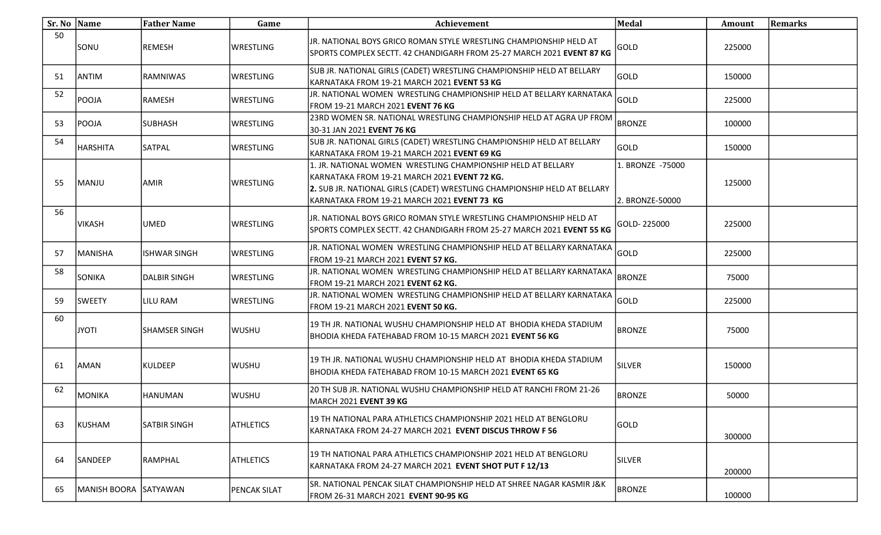| Sr. No Name |                        | <b>Father Name</b>   | Game                | Achievement                                                                                                                                                                                                                             | <b>Medal</b>                        | Amount | <b>Remarks</b> |
|-------------|------------------------|----------------------|---------------------|-----------------------------------------------------------------------------------------------------------------------------------------------------------------------------------------------------------------------------------------|-------------------------------------|--------|----------------|
| 50          | SONU                   | <b>REMESH</b>        | <b>WRESTLING</b>    | JR. NATIONAL BOYS GRICO ROMAN STYLE WRESTLING CHAMPIONSHIP HELD AT<br>SPORTS COMPLEX SECTT. 42 CHANDIGARH FROM 25-27 MARCH 2021 EVENT 87 KG                                                                                             | GOLD                                | 225000 |                |
| 51          | ANTIM                  | <b>RAMNIWAS</b>      | WRESTLING           | SUB JR. NATIONAL GIRLS (CADET) WRESTLING CHAMPIONSHIP HELD AT BELLARY<br>KARNATAKA FROM 19-21 MARCH 2021 EVENT 53 KG                                                                                                                    | GOLD                                | 150000 |                |
| 52          | POOJA                  | RAMESH               | <b>WRESTLING</b>    | JR. NATIONAL WOMEN WRESTLING CHAMPIONSHIP HELD AT BELLARY KARNATAKA<br>FROM 19-21 MARCH 2021 EVENT 76 KG                                                                                                                                | GOLD                                | 225000 |                |
| 53          | POOJA                  | <b>SUBHASH</b>       | <b>WRESTLING</b>    | 23RD WOMEN SR. NATIONAL WRESTLING CHAMPIONSHIP HELD AT AGRA UP FROM<br>30-31 JAN 2021 EVENT 76 KG                                                                                                                                       | <b>BRONZE</b>                       | 100000 |                |
| 54          | HARSHITA               | <b>SATPAL</b>        | <b>WRESTLING</b>    | SUB JR. NATIONAL GIRLS (CADET) WRESTLING CHAMPIONSHIP HELD AT BELLARY<br>KARNATAKA FROM 19-21 MARCH 2021 <b>EVENT 69 KG</b>                                                                                                             | GOLD                                | 150000 |                |
| 55          | MANJU                  | <b>AMIR</b>          | <b>WRESTLING</b>    | 1. JR. NATIONAL WOMEN WRESTLING CHAMPIONSHIP HELD AT BELLARY<br>KARNATAKA FROM 19-21 MARCH 2021 EVENT 72 KG.<br>2. SUB JR. NATIONAL GIRLS (CADET) WRESTLING CHAMPIONSHIP HELD AT BELLARY<br>KARNATAKA FROM 19-21 MARCH 2021 EVENT 73 KG | 1. BRONZE -75000<br>2. BRONZE-50000 | 125000 |                |
| 56          | VIKASH                 | UMED                 | <b>WRESTLING</b>    | JR. NATIONAL BOYS GRICO ROMAN STYLE WRESTLING CHAMPIONSHIP HELD AT<br>SPORTS COMPLEX SECTT. 42 CHANDIGARH FROM 25-27 MARCH 2021 EVENT 55 KG                                                                                             | GOLD-225000                         | 225000 |                |
| 57          | MANISHA                | <b>ISHWAR SINGH</b>  | <b>WRESTLING</b>    | JR. NATIONAL WOMEN WRESTLING CHAMPIONSHIP HELD AT BELLARY KARNATAKA<br>FROM 19-21 MARCH 2021 EVENT 57 KG.                                                                                                                               | GOLD                                | 225000 |                |
| 58          | SONIKA                 | <b>DALBIR SINGH</b>  | <b>WRESTLING</b>    | JR. NATIONAL WOMEN WRESTLING CHAMPIONSHIP HELD AT BELLARY KARNATAKA<br>FROM 19-21 MARCH 2021 EVENT 62 KG.                                                                                                                               | <b>BRONZE</b>                       | 75000  |                |
| 59          | <b>SWEETY</b>          | LILU RAM             | <b>WRESTLING</b>    | JR. NATIONAL WOMEN WRESTLING CHAMPIONSHIP HELD AT BELLARY KARNATAKA<br>FROM 19-21 MARCH 2021 EVENT 50 KG.                                                                                                                               | GOLD                                | 225000 |                |
| 60          | ITOYL                  | <b>SHAMSER SINGH</b> | <b>WUSHU</b>        | 19 TH JR. NATIONAL WUSHU CHAMPIONSHIP HELD AT  BHODIA KHEDA STADIUM<br>BHODIA KHEDA FATEHABAD FROM 10-15 MARCH 2021 <b>EVENT 56 KG</b>                                                                                                  | <b>BRONZE</b>                       | 75000  |                |
| 61          | AMAN                   | KULDEEP              | <b>WUSHU</b>        | 19 TH JR. NATIONAL WUSHU CHAMPIONSHIP HELD AT  BHODIA KHEDA STADIUM<br>BHODIA KHEDA FATEHABAD FROM 10-15 MARCH 2021 EVENT 65 KG                                                                                                         | <b>SILVER</b>                       | 150000 |                |
| 62          | MONIKA                 | <b>HANUMAN</b>       | <b>WUSHU</b>        | 20 TH SUB JR. NATIONAL WUSHU CHAMPIONSHIP HELD AT RANCHI FROM 21-26<br>MARCH 2021 EVENT 39 KG                                                                                                                                           | <b>BRONZE</b>                       | 50000  |                |
| 63          | KUSHAM                 | SATBIR SINGH         | <b>ATHLETICS</b>    | 19 TH NATIONAL PARA ATHLETICS CHAMPIONSHIP 2021 HELD AT BENGLORU<br>KARNATAKA FROM 24-27 MARCH 2021 EVENT DISCUS THROW F 56                                                                                                             | GOLD                                | 300000 |                |
| 64          | <b>SANDEEP</b>         | RAMPHAL              | <b>ATHLETICS</b>    | 19 TH NATIONAL PARA ATHLETICS CHAMPIONSHIP 2021 HELD AT BENGLORU<br>KARNATAKA FROM 24-27 MARCH 2021 EVENT SHOT PUT F 12/13                                                                                                              | <b>SILVER</b>                       | 200000 |                |
| 65          | MANISH BOORA  SATYAWAN |                      | <b>PENCAK SILAT</b> | SR. NATIONAL PENCAK SILAT CHAMPIONSHIP HELD AT SHREE NAGAR KASMIR J&K<br>FROM 26-31 MARCH 2021 EVENT 90-95 KG                                                                                                                           | <b>BRONZE</b>                       | 100000 |                |